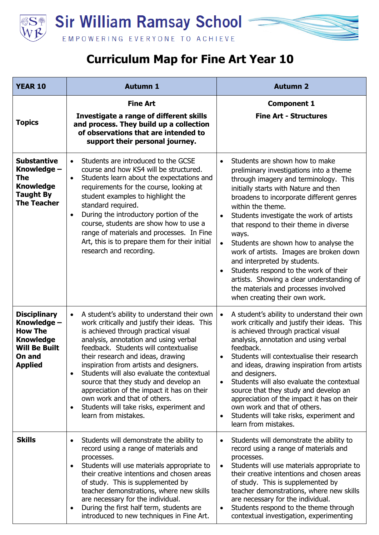



| <b>YEAR 10</b>                                                                                                               | <b>Autumn 1</b>                                                                                                                                                                                                                                                                                                                                                                                                                                                                                                                                                                        | <b>Autumn 2</b>                                                                                                                                                                                                                                                                                                                                                                                                                                                                                                                                                                                                                                       |
|------------------------------------------------------------------------------------------------------------------------------|----------------------------------------------------------------------------------------------------------------------------------------------------------------------------------------------------------------------------------------------------------------------------------------------------------------------------------------------------------------------------------------------------------------------------------------------------------------------------------------------------------------------------------------------------------------------------------------|-------------------------------------------------------------------------------------------------------------------------------------------------------------------------------------------------------------------------------------------------------------------------------------------------------------------------------------------------------------------------------------------------------------------------------------------------------------------------------------------------------------------------------------------------------------------------------------------------------------------------------------------------------|
| <b>Topics</b>                                                                                                                | <b>Fine Art</b><br>Investigate a range of different skills<br>and process. They build up a collection<br>of observations that are intended to<br>support their personal journey.                                                                                                                                                                                                                                                                                                                                                                                                       | <b>Component 1</b><br><b>Fine Art - Structures</b>                                                                                                                                                                                                                                                                                                                                                                                                                                                                                                                                                                                                    |
| <b>Substantive</b><br>Knowledge -<br><b>The</b><br><b>Knowledge</b><br><b>Taught By</b><br><b>The Teacher</b>                | Students are introduced to the GCSE<br>$\bullet$<br>course and how KS4 will be structured.<br>Students learn about the expectations and<br>$\bullet$<br>requirements for the course, looking at<br>student examples to highlight the<br>standard required.<br>During the introductory portion of the<br>$\bullet$<br>course, students are show how to use a<br>range of materials and processes. In Fine<br>Art, this is to prepare them for their initial<br>research and recording.                                                                                                  | Students are shown how to make<br>$\bullet$<br>preliminary investigations into a theme<br>through imagery and terminology. This<br>initially starts with Nature and then<br>broadens to incorporate different genres<br>within the theme.<br>Students investigate the work of artists<br>$\bullet$<br>that respond to their theme in diverse<br>ways.<br>Students are shown how to analyse the<br>$\bullet$<br>work of artists. Images are broken down<br>and interpreted by students.<br>Students respond to the work of their<br>artists. Showing a clear understanding of<br>the materials and processes involved<br>when creating their own work. |
| <b>Disciplinary</b><br>Knowledge -<br><b>How The</b><br><b>Knowledge</b><br><b>Will Be Built</b><br>On and<br><b>Applied</b> | A student's ability to understand their own<br>$\bullet$<br>work critically and justify their ideas. This<br>is achieved through practical visual<br>analysis, annotation and using verbal<br>feedback. Students will contextualise<br>their research and ideas, drawing<br>inspiration from artists and designers.<br>Students will also evaluate the contextual<br>$\bullet$<br>source that they study and develop an<br>appreciation of the impact it has on their<br>own work and that of others.<br>Students will take risks, experiment and<br>$\bullet$<br>learn from mistakes. | A student's ability to understand their own<br>$\bullet$<br>work critically and justify their ideas. This<br>is achieved through practical visual<br>analysis, annotation and using verbal<br>feedback.<br>Students will contextualise their research<br>and ideas, drawing inspiration from artists<br>and designers.<br>Students will also evaluate the contextual<br>$\bullet$<br>source that they study and develop an<br>appreciation of the impact it has on their<br>own work and that of others.<br>Students will take risks, experiment and<br>learn from mistakes.                                                                          |
| <b>Skills</b>                                                                                                                | Students will demonstrate the ability to<br>$\bullet$<br>record using a range of materials and<br>processes.<br>Students will use materials appropriate to<br>$\bullet$<br>their creative intentions and chosen areas<br>of study. This is supplemented by<br>teacher demonstrations, where new skills<br>are necessary for the individual.<br>During the first half term, students are<br>$\bullet$<br>introduced to new techniques in Fine Art.                                                                                                                                      | Students will demonstrate the ability to<br>$\bullet$<br>record using a range of materials and<br>processes.<br>Students will use materials appropriate to<br>$\bullet$<br>their creative intentions and chosen areas<br>of study. This is supplemented by<br>teacher demonstrations, where new skills<br>are necessary for the individual.<br>Students respond to the theme through<br>$\bullet$<br>contextual investigation, experimenting                                                                                                                                                                                                          |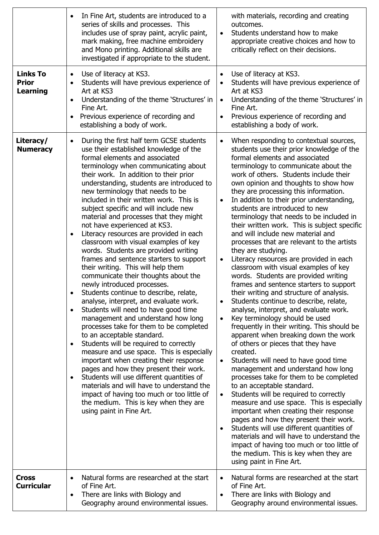|                                                    | In Fine Art, students are introduced to a<br>series of skills and processes. This<br>includes use of spray paint, acrylic paint,<br>mark making, free machine embroidery<br>and Mono printing. Additional skills are<br>investigated if appropriate to the student.                                                                                                                                                                                                                                                                                                                                                                                                                                                                                                                                                                                                                                                                                                                                                                                                                                                                                                                                                                                                                                                                                                                                                                           | with materials, recording and creating<br>outcomes.<br>Students understand how to make<br>$\bullet$<br>appropriate creative choices and how to<br>critically reflect on their decisions.                                                                                                                                                                                                                                                                                                                                                                                                                                                                                                                                                                                                                                                                                                                                                                                                                                                                                                                                                                                                                                                                                                                                                                                                                                                                                                                                                                                                                                                                                                                              |
|----------------------------------------------------|-----------------------------------------------------------------------------------------------------------------------------------------------------------------------------------------------------------------------------------------------------------------------------------------------------------------------------------------------------------------------------------------------------------------------------------------------------------------------------------------------------------------------------------------------------------------------------------------------------------------------------------------------------------------------------------------------------------------------------------------------------------------------------------------------------------------------------------------------------------------------------------------------------------------------------------------------------------------------------------------------------------------------------------------------------------------------------------------------------------------------------------------------------------------------------------------------------------------------------------------------------------------------------------------------------------------------------------------------------------------------------------------------------------------------------------------------|-----------------------------------------------------------------------------------------------------------------------------------------------------------------------------------------------------------------------------------------------------------------------------------------------------------------------------------------------------------------------------------------------------------------------------------------------------------------------------------------------------------------------------------------------------------------------------------------------------------------------------------------------------------------------------------------------------------------------------------------------------------------------------------------------------------------------------------------------------------------------------------------------------------------------------------------------------------------------------------------------------------------------------------------------------------------------------------------------------------------------------------------------------------------------------------------------------------------------------------------------------------------------------------------------------------------------------------------------------------------------------------------------------------------------------------------------------------------------------------------------------------------------------------------------------------------------------------------------------------------------------------------------------------------------------------------------------------------------|
| <b>Links To</b><br><b>Prior</b><br><b>Learning</b> | Use of literacy at KS3.<br>$\bullet$<br>Students will have previous experience of<br>$\bullet$<br>Art at KS3<br>Understanding of the theme 'Structures' in<br>٠<br>Fine Art.<br>Previous experience of recording and<br>$\bullet$<br>establishing a body of work.                                                                                                                                                                                                                                                                                                                                                                                                                                                                                                                                                                                                                                                                                                                                                                                                                                                                                                                                                                                                                                                                                                                                                                             | Use of literacy at KS3.<br>$\bullet$<br>Students will have previous experience of<br>$\bullet$<br>Art at KS3<br>Understanding of the theme 'Structures' in<br>$\bullet$<br>Fine Art.<br>Previous experience of recording and<br>$\bullet$<br>establishing a body of work.                                                                                                                                                                                                                                                                                                                                                                                                                                                                                                                                                                                                                                                                                                                                                                                                                                                                                                                                                                                                                                                                                                                                                                                                                                                                                                                                                                                                                                             |
| Literacy/<br><b>Numeracy</b>                       | During the first half term GCSE students<br>$\bullet$<br>use their established knowledge of the<br>formal elements and associated<br>terminology when communicating about<br>their work. In addition to their prior<br>understanding, students are introduced to<br>new terminology that needs to be<br>included in their written work. This is<br>subject specific and will include new<br>material and processes that they might<br>not have experienced at KS3.<br>Literacy resources are provided in each<br>$\bullet$<br>classroom with visual examples of key<br>words. Students are provided writing<br>frames and sentence starters to support<br>their writing. This will help them<br>communicate their thoughts about the<br>newly introduced processes.<br>Students continue to describe, relate,<br>analyse, interpret, and evaluate work.<br>Students will need to have good time<br>$\bullet$<br>management and understand how long<br>processes take for them to be completed<br>to an acceptable standard.<br>Students will be required to correctly<br>$\bullet$<br>measure and use space. This is especially<br>important when creating their response<br>pages and how they present their work.<br>Students will use different quantities of<br>$\bullet$<br>materials and will have to understand the<br>impact of having too much or too little of<br>the medium. This is key when they are<br>using paint in Fine Art. | When responding to contextual sources,<br>$\bullet$<br>students use their prior knowledge of the<br>formal elements and associated<br>terminology to communicate about the<br>work of others. Students include their<br>own opinion and thoughts to show how<br>they are processing this information.<br>In addition to their prior understanding,<br>$\bullet$<br>students are introduced to new<br>terminology that needs to be included in<br>their written work. This is subject specific<br>and will include new material and<br>processes that are relevant to the artists<br>they are studying.<br>Literacy resources are provided in each<br>$\bullet$<br>classroom with visual examples of key<br>words. Students are provided writing<br>frames and sentence starters to support<br>their writing and structure of analysis.<br>Students continue to describe, relate,<br>$\bullet$<br>analyse, interpret, and evaluate work.<br>Key terminology should be used<br>$\bullet$<br>frequently in their writing. This should be<br>apparent when breaking down the work<br>of others or pieces that they have<br>created.<br>Students will need to have good time<br>$\bullet$<br>management and understand how long<br>processes take for them to be completed<br>to an acceptable standard.<br>Students will be required to correctly<br>$\bullet$<br>measure and use space. This is especially<br>important when creating their response<br>pages and how they present their work.<br>Students will use different quantities of<br>$\bullet$<br>materials and will have to understand the<br>impact of having too much or too little of<br>the medium. This is key when they are<br>using paint in Fine Art. |
| <b>Cross</b><br><b>Curricular</b>                  | Natural forms are researched at the start<br>$\bullet$<br>of Fine Art.<br>There are links with Biology and<br>$\bullet$<br>Geography around environmental issues.                                                                                                                                                                                                                                                                                                                                                                                                                                                                                                                                                                                                                                                                                                                                                                                                                                                                                                                                                                                                                                                                                                                                                                                                                                                                             | Natural forms are researched at the start<br>$\bullet$<br>of Fine Art.<br>There are links with Biology and<br>$\bullet$<br>Geography around environmental issues.                                                                                                                                                                                                                                                                                                                                                                                                                                                                                                                                                                                                                                                                                                                                                                                                                                                                                                                                                                                                                                                                                                                                                                                                                                                                                                                                                                                                                                                                                                                                                     |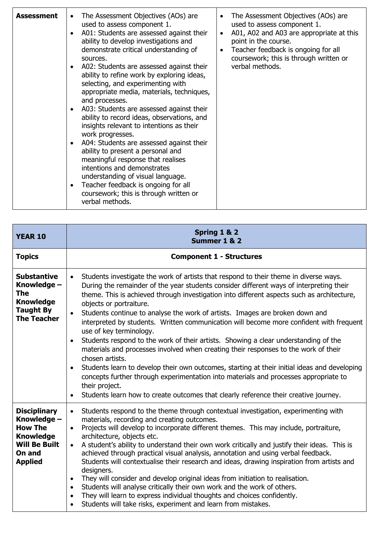| <b>YEAR 10</b>                                                                                                               | Spring 1 & 2<br>Summer 1 & 2                                                                                                                                                                                                                                                                                                                                                                                                                                                                                                                                                                                                                                                                                                                                                                                                                                                                                                                                                                                                                                           |  |
|------------------------------------------------------------------------------------------------------------------------------|------------------------------------------------------------------------------------------------------------------------------------------------------------------------------------------------------------------------------------------------------------------------------------------------------------------------------------------------------------------------------------------------------------------------------------------------------------------------------------------------------------------------------------------------------------------------------------------------------------------------------------------------------------------------------------------------------------------------------------------------------------------------------------------------------------------------------------------------------------------------------------------------------------------------------------------------------------------------------------------------------------------------------------------------------------------------|--|
| <b>Topics</b>                                                                                                                | <b>Component 1 - Structures</b>                                                                                                                                                                                                                                                                                                                                                                                                                                                                                                                                                                                                                                                                                                                                                                                                                                                                                                                                                                                                                                        |  |
| <b>Substantive</b><br>Knowledge -<br><b>The</b><br><b>Knowledge</b><br><b>Taught By</b><br><b>The Teacher</b>                | Students investigate the work of artists that respond to their theme in diverse ways.<br>$\bullet$<br>During the remainder of the year students consider different ways of interpreting their<br>theme. This is achieved through investigation into different aspects such as architecture,<br>objects or portraiture.<br>Students continue to analyse the work of artists. Images are broken down and<br>$\bullet$<br>interpreted by students. Written communication will become more confident with frequent<br>use of key terminology.<br>Students respond to the work of their artists. Showing a clear understanding of the<br>$\bullet$<br>materials and processes involved when creating their responses to the work of their<br>chosen artists.<br>Students learn to develop their own outcomes, starting at their initial ideas and developing<br>$\bullet$<br>concepts further through experimentation into materials and processes appropriate to<br>their project.<br>Students learn how to create outcomes that clearly reference their creative journey. |  |
| <b>Disciplinary</b><br>Knowledge -<br><b>How The</b><br><b>Knowledge</b><br><b>Will Be Built</b><br>On and<br><b>Applied</b> | Students respond to the theme through contextual investigation, experimenting with<br>$\bullet$<br>materials, recording and creating outcomes.<br>Projects will develop to incorporate different themes. This may include, portraiture,<br>$\bullet$<br>architecture, objects etc.<br>A student's ability to understand their own work critically and justify their ideas. This is<br>$\bullet$<br>achieved through practical visual analysis, annotation and using verbal feedback.<br>Students will contextualise their research and ideas, drawing inspiration from artists and<br>designers.<br>They will consider and develop original ideas from initiation to realisation.<br>$\bullet$<br>Students will analyse critically their own work and the work of others.<br>$\bullet$<br>They will learn to express individual thoughts and choices confidently.<br>$\bullet$<br>Students will take risks, experiment and learn from mistakes.                                                                                                                        |  |